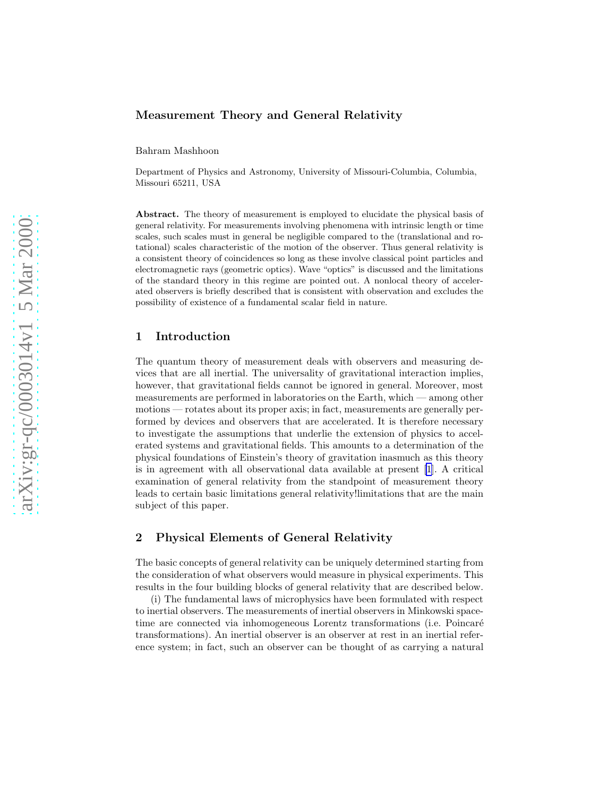### Measurement Theory and General Relativity

Bahram Mashhoon

Department of Physics and Astronomy, University of Missouri-Columbia, Columbia, Missouri 65211, USA

Abstract. The theory of measurement is employed to elucidate the physical basis of general relativity. For measurements involving phenomena with intrinsic length or time scales, such scales must in general be negligible compared to the (translational and rotational) scales characteristic of the motion of the observer. Thus general relativity is a consistent theory of coincidences so long as these involve classical point particles and electromagnetic rays (geometric optics). Wave "optics" is discussed and the limitations of the standard theory in this regime are pointed out. A nonlocal theory of accelerated observers is briefly described that is consistent with observation and excludes the possibility of existence of a fundamental scalar field in nature.

### 1 Introduction

The quantum theory of measurement deals with observers and measuring devices that are all inertial. The universality of gravitational interaction implies, however, that gravitational fields cannot be ignored in general. Moreover, most measurements are performed in laboratories on the Earth, which — among other motions — rotates about its proper axis; in fact, measurements are generally performed by devices and observers that are accelerated. It is therefore necessary to investigate the assumptions that underlie the extension of physics to accelerated systems and gravitational fields. This amounts to a determination of the physical foundations of Einstein's theory of gravitation inasmuch as this theory is in agreement with all observational data available at present [\[1](#page-14-0)]. A critical examination of general relativity from the standpoint of measurement theory leads to certain basic limitations general relativity!limitations that are the main subject of this paper.

# 2 Physical Elements of General Relativity

The basic concepts of general relativity can be uniquely determined starting from the consideration of what observers would measure in physical experiments. This results in the four building blocks of general relativity that are described below.

(i) The fundamental laws of microphysics have been formulated with respect to inertial observers. The measurements of inertial observers in Minkowski spacetime are connected via inhomogeneous Lorentz transformations (i.e. Poincaré transformations). An inertial observer is an observer at rest in an inertial reference system; in fact, such an observer can be thought of as carrying a natural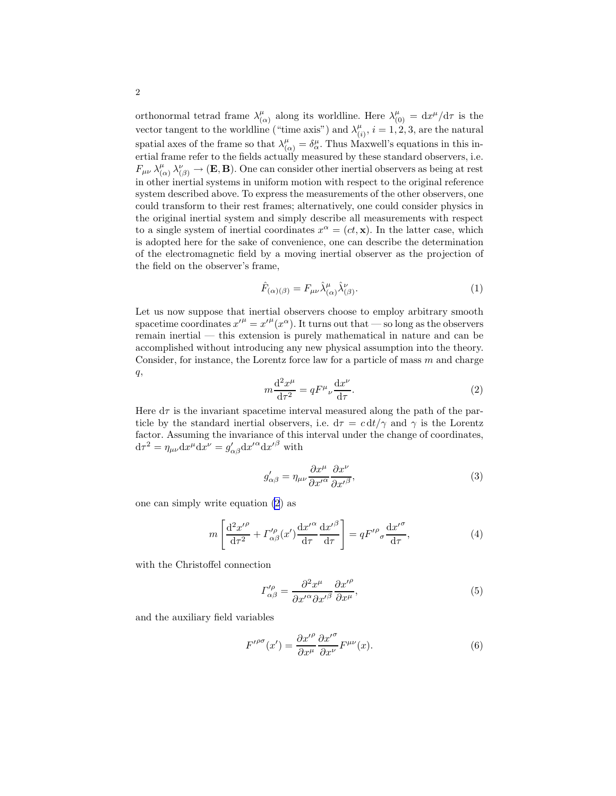orthonormal tetrad frame  $\lambda^{\mu}_{\mu}$  $\mu_{(\alpha)}^{\mu}$  along its worldline. Here  $\lambda_{(0)}^{\mu} = dx^{\mu}/d\tau$  is the vector tangent to the worldline ("time axis") and  $\lambda_0^{\mu}$  $\binom{\mu}{(i)}$ ,  $i = 1, 2, 3$ , are the natural spatial axes of the frame so that  $\lambda^{\mu}_{(\alpha)} = \delta^{\mu}_{\alpha}$ . Thus Maxwell's equations in this inertial frame refer to the fields actually measured by these standard observers, i.e.  $F_{\mu\nu}$   $\lambda^\mu_\mu$  $\chi^{\mu}_{(\alpha)} \lambda^{\nu}_{(\beta)} \to (\mathbf{E}, \mathbf{B})$ . One can consider other inertial observers as being at rest in other inertial systems in uniform motion with respect to the original reference system described above. To express the measurements of the other observers, one could transform to their rest frames; alternatively, one could consider physics in the original inertial system and simply describe all measurements with respect to a single system of inertial coordinates  $x^{\alpha} = (ct, \mathbf{x})$ . In the latter case, which is adopted here for the sake of convenience, one can describe the determination of the electromagnetic field by a moving inertial observer as the projection of the field on the observer's frame,

$$
\hat{F}_{(\alpha)(\beta)} = F_{\mu\nu} \hat{\lambda}^{\mu}_{(\alpha)} \hat{\lambda}^{\nu}_{(\beta)}.
$$
\n(1)

Let us now suppose that inertial observers choose to employ arbitrary smooth spacetime coordinates  $x'^{\mu} = x'^{\mu}(x^{\alpha})$ . It turns out that — so long as the observers remain inertial — this extension is purely mathematical in nature and can be accomplished without introducing any new physical assumption into the theory. Consider, for instance, the Lorentz force law for a particle of mass  $m$  and charge  $q,$ 

$$
m\frac{\mathrm{d}^2 x^{\mu}}{\mathrm{d}\tau^2} = qF^{\mu}{}_{\nu}\frac{\mathrm{d}x^{\nu}}{\mathrm{d}\tau}.\tag{2}
$$

Here  $d\tau$  is the invariant spacetime interval measured along the path of the particle by the standard inertial observers, i.e.  $d\tau = c dt/\gamma$  and  $\gamma$  is the Lorentz factor. Assuming the invariance of this interval under the change of coordinates,  $d\tau^2 = \eta_{\mu\nu} dx^{\mu} dx^{\nu} = g'_{\alpha\beta} dx'^{\alpha} dx'^{\beta}$  with

$$
g'_{\alpha\beta} = \eta_{\mu\nu} \frac{\partial x^{\mu}}{\partial x'^{\alpha}} \frac{\partial x^{\nu}}{\partial x'^{\beta}},
$$
\n(3)

one can simply write equation (2) as

$$
m\left[\frac{\mathrm{d}^2 x'^{\rho}}{\mathrm{d}\tau^2} + \Gamma'^{\rho}_{\alpha\beta}(x')\frac{\mathrm{d}x'^{\alpha}}{\mathrm{d}\tau}\frac{\mathrm{d}x'^{\beta}}{\mathrm{d}\tau}\right] = qF'^{\rho}_{\sigma}\frac{\mathrm{d}x'^{\sigma}}{\mathrm{d}\tau},\tag{4}
$$

with the Christoffel connection

$$
\Gamma^{\prime \rho}_{\alpha \beta} = \frac{\partial^2 x^{\mu}}{\partial x^{\prime \alpha} \partial x^{\prime \beta}} \frac{\partial x^{\prime \rho}}{\partial x^{\mu}},\tag{5}
$$

and the auxiliary field variables

$$
F^{\prime \rho \sigma}(x') = \frac{\partial x^{\prime \rho}}{\partial x^{\mu}} \frac{\partial x^{\prime \sigma}}{\partial x^{\nu}} F^{\mu \nu}(x). \tag{6}
$$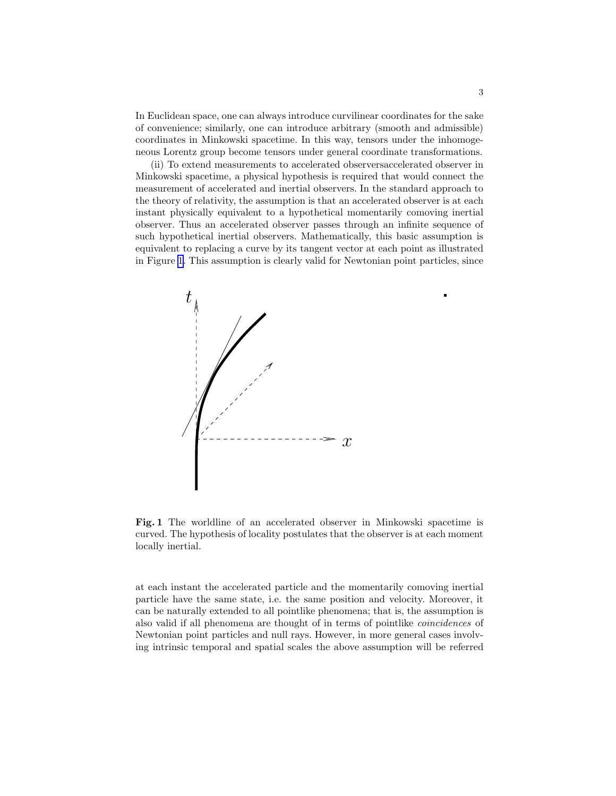In Euclidean space, one can always introduce curvilinear coordinates for the sake of convenience; similarly, one can introduce arbitrary (smooth and admissible) coordinates in Minkowski spacetime. In this way, tensors under the inhomogeneous Lorentz group become tensors under general coordinate transformations.

(ii) To extend measurements to accelerated observersaccelerated observer in Minkowski spacetime, a physical hypothesis is required that would connect the measurement of accelerated and inertial observers. In the standard approach to the theory of relativity, the assumption is that an accelerated observer is at each instant physically equivalent to a hypothetical momentarily comoving inertial observer. Thus an accelerated observer passes through an infinite sequence of such hypothetical inertial observers. Mathematically, this basic assumption is equivalent to replacing a curve by its tangent vector at each point as illustrated in Figure 1. This assumption is clearly valid for Newtonian point particles, since



Fig. 1 The worldline of an accelerated observer in Minkowski spacetime is curved. The hypothesis of locality postulates that the observer is at each moment locally inertial.

at each instant the accelerated particle and the momentarily comoving inertial particle have the same state, i.e. the same position and velocity. Moreover, it can be naturally extended to all pointlike phenomena; that is, the assumption is also valid if all phenomena are thought of in terms of pointlike coincidences of Newtonian point particles and null rays. However, in more general cases involving intrinsic temporal and spatial scales the above assumption will be referred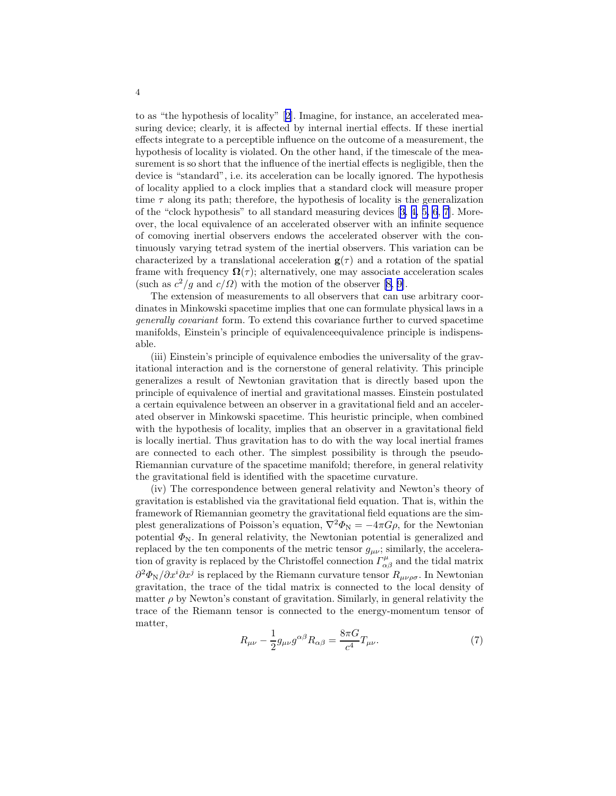to as "the hypothesis of locality"[[2\]](#page-14-0). Imagine, for instance, an accelerated measuring device; clearly, it is affected by internal inertial effects. If these inertial effects integrate to a perceptible influence on the outcome of a measurement, the hypothesis of locality is violated. On the other hand, if the timescale of the measurement is so short that the influence of the inertial effects is negligible, then the device is "standard", i.e. its acceleration can be locally ignored. The hypothesis of locality applied to a clock implies that a standard clock will measure proper time  $\tau$  along its path; therefore, the hypothesis of locality is the generalization of the "clock hypothesis" to all standard measuring devices [[3, 4, 5, 6](#page-14-0), [7](#page-14-0)]. Moreover, the local equivalence of an accelerated observer with an infinite sequence of comoving inertial observers endows the accelerated observer with the continuously varying tetrad system of the inertial observers. This variation can be characterized by a translational acceleration  $g(\tau)$  and a rotation of the spatial frame with frequency  $\Omega(\tau)$ ; alternatively, one may associate acceleration scales (suchas  $c^2/g$  and  $c/\Omega$ ) with the motion of the observer [[8, 9\]](#page-14-0).

The extension of measurements to all observers that can use arbitrary coordinates in Minkowski spacetime implies that one can formulate physical laws in a generally covariant form. To extend this covariance further to curved spacetime manifolds, Einstein's principle of equivalenceequivalence principle is indispensable.

(iii) Einstein's principle of equivalence embodies the universality of the gravitational interaction and is the cornerstone of general relativity. This principle generalizes a result of Newtonian gravitation that is directly based upon the principle of equivalence of inertial and gravitational masses. Einstein postulated a certain equivalence between an observer in a gravitational field and an accelerated observer in Minkowski spacetime. This heuristic principle, when combined with the hypothesis of locality, implies that an observer in a gravitational field is locally inertial. Thus gravitation has to do with the way local inertial frames are connected to each other. The simplest possibility is through the pseudo-Riemannian curvature of the spacetime manifold; therefore, in general relativity the gravitational field is identified with the spacetime curvature.

(iv) The correspondence between general relativity and Newton's theory of gravitation is established via the gravitational field equation. That is, within the framework of Riemannian geometry the gravitational field equations are the simplest generalizations of Poisson's equation,  $\nabla^2 \Phi_N = -4\pi G \rho$ , for the Newtonian potential  $\Phi_N$ . In general relativity, the Newtonian potential is generalized and replaced by the ten components of the metric tensor  $g_{\mu\nu}$ ; similarly, the acceleration of gravity is replaced by the Christoffel connection  $\Gamma^{\mu}_{\alpha\beta}$  and the tidal matrix  $\partial^2 \Phi_{\rm N}/\partial x^i \partial x^j$  is replaced by the Riemann curvature tensor  $R_{\mu\nu\rho\sigma}$ . In Newtonian gravitation, the trace of the tidal matrix is connected to the local density of matter  $\rho$  by Newton's constant of gravitation. Similarly, in general relativity the trace of the Riemann tensor is connected to the energy-momentum tensor of matter,

$$
R_{\mu\nu} - \frac{1}{2} g_{\mu\nu} g^{\alpha\beta} R_{\alpha\beta} = \frac{8\pi G}{c^4} T_{\mu\nu}.
$$
 (7)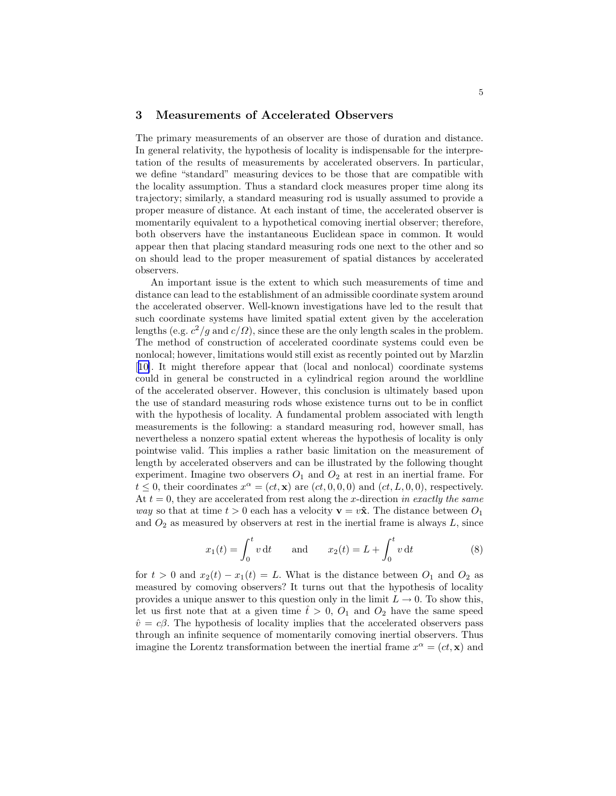## 3 Measurements of Accelerated Observers

The primary measurements of an observer are those of duration and distance. In general relativity, the hypothesis of locality is indispensable for the interpretation of the results of measurements by accelerated observers. In particular, we define "standard" measuring devices to be those that are compatible with the locality assumption. Thus a standard clock measures proper time along its trajectory; similarly, a standard measuring rod is usually assumed to provide a proper measure of distance. At each instant of time, the accelerated observer is momentarily equivalent to a hypothetical comoving inertial observer; therefore, both observers have the instantaneous Euclidean space in common. It would appear then that placing standard measuring rods one next to the other and so on should lead to the proper measurement of spatial distances by accelerated observers.

An important issue is the extent to which such measurements of time and distance can lead to the establishment of an admissible coordinate system around the accelerated observer. Well-known investigations have led to the result that such coordinate systems have limited spatial extent given by the acceleration lengths (e.g.  $c^2/g$  and  $c/\Omega$ ), since these are the only length scales in the problem. The method of construction of accelerated coordinate systems could even be nonlocal; however, limitations would still exist as recently pointed out by Marzlin [[10\]](#page-14-0). It might therefore appear that (local and nonlocal) coordinate systems could in general be constructed in a cylindrical region around the worldline of the accelerated observer. However, this conclusion is ultimately based upon the use of standard measuring rods whose existence turns out to be in conflict with the hypothesis of locality. A fundamental problem associated with length measurements is the following: a standard measuring rod, however small, has nevertheless a nonzero spatial extent whereas the hypothesis of locality is only pointwise valid. This implies a rather basic limitation on the measurement of length by accelerated observers and can be illustrated by the following thought experiment. Imagine two observers  $O_1$  and  $O_2$  at rest in an inertial frame. For  $t \leq 0$ , their coordinates  $x^{\alpha} = (ct, \mathbf{x})$  are  $(ct, 0, 0, 0)$  and  $(ct, L, 0, 0)$ , respectively. At  $t = 0$ , they are accelerated from rest along the x-direction in exactly the same way so that at time  $t > 0$  each has a velocity  $\mathbf{v} = v\hat{\mathbf{x}}$ . The distance between  $O_1$ and  $O_2$  as measured by observers at rest in the inertial frame is always  $L$ , since

$$
x_1(t) = \int_0^t v dt
$$
 and  $x_2(t) = L + \int_0^t v dt$  (8)

for  $t > 0$  and  $x_2(t) - x_1(t) = L$ . What is the distance between  $O_1$  and  $O_2$  as measured by comoving observers? It turns out that the hypothesis of locality provides a unique answer to this question only in the limit  $L \rightarrow 0$ . To show this, let us first note that at a given time  $\hat{t} > 0$ ,  $O_1$  and  $O_2$  have the same speed  $\hat{v} = c\beta$ . The hypothesis of locality implies that the accelerated observers pass through an infinite sequence of momentarily comoving inertial observers. Thus imagine the Lorentz transformation between the inertial frame  $x^{\alpha} = (ct, \mathbf{x})$  and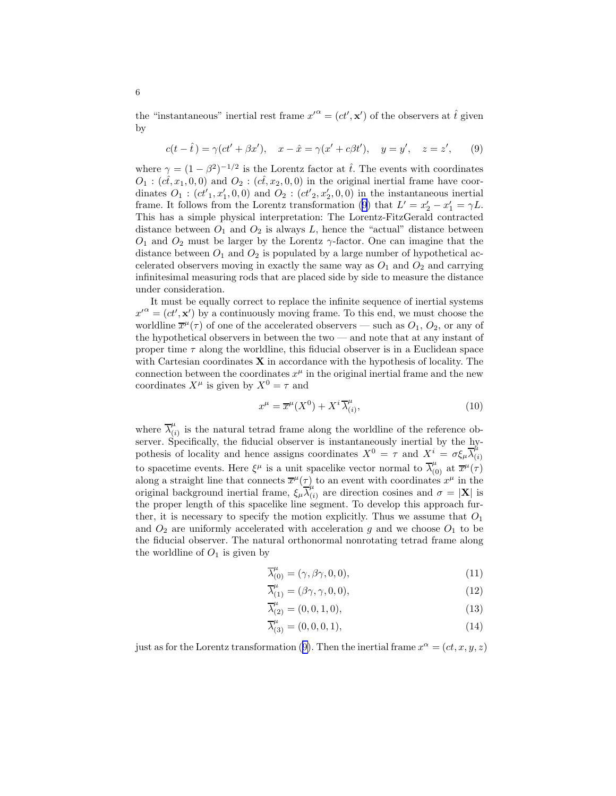the "instantaneous" inertial rest frame  $x'^{\alpha} = (ct', \mathbf{x}')$  of the observers at  $\hat{t}$  given by

$$
c(t - \hat{t}) = \gamma(ct' + \beta x'), \quad x - \hat{x} = \gamma(x' + c\beta t'), \quad y = y', \quad z = z', \tag{9}
$$

where  $\gamma = (1 - \beta^2)^{-1/2}$  is the Lorentz factor at  $\hat{t}$ . The events with coordinates  $O_1$ :  $(c\hat{t}, x_1, 0, 0)$  and  $O_2$ :  $(c\hat{t}, x_2, 0, 0)$  in the original inertial frame have coordinates  $O_1$ :  $(ct'_1, x'_1, 0, 0)$  and  $O_2$ :  $(ct'_2, x'_2, 0, 0)$  in the instantaneous inertial frame. It follows from the Lorentz transformation (9) that  $L' = x_2' - x_1' = \gamma L$ . This has a simple physical interpretation: The Lorentz-FitzGerald contracted distance between  $O_1$  and  $O_2$  is always L, hence the "actual" distance between  $O_1$  and  $O_2$  must be larger by the Lorentz  $\gamma$ -factor. One can imagine that the distance between  $O_1$  and  $O_2$  is populated by a large number of hypothetical accelerated observers moving in exactly the same way as  $O_1$  and  $O_2$  and carrying infinitesimal measuring rods that are placed side by side to measure the distance under consideration.

It must be equally correct to replace the infinite sequence of inertial systems  $x'^{\alpha} = (ct', \mathbf{x}')$  by a continuously moving frame. To this end, we must choose the worldline  $\overline{x}^{\mu}(\tau)$  of one of the accelerated observers — such as  $O_1$ ,  $O_2$ , or any of the hypothetical observers in between the two — and note that at any instant of proper time  $\tau$  along the worldline, this fiducial observer is in a Euclidean space with Cartesian coordinates  $X$  in accordance with the hypothesis of locality. The connection between the coordinates  $x^{\mu}$  in the original inertial frame and the new coordinates  $X^{\mu}$  is given by  $X^{0} = \tau$  and

$$
x^{\mu} = \overline{x}^{\mu}(X^0) + X^i \overline{\lambda}^{\mu}_{(i)}, \tag{10}
$$

where  $\overline{\lambda}_{i}^{\mu}$  $\mu_{(i)}^{\mu}$  is the natural tetrad frame along the worldline of the reference observer. Specifically, the fiducial observer is instantaneously inertial by the hypothesis of locality and hence assigns coordinates  $X^0 = \tau$  and  $X^i = \sigma \xi_\mu \overline{\lambda}_{ij}^\mu$ (i) to spacetime events. Here  $\xi^{\mu}$  is a unit spacelike vector normal to  $\overline{\lambda}_{(0)}^{\mu}$  at  $\overline{x}^{\mu}(\tau)$ along a straight line that connects  $\overline{x}^{\mu}(\tau)$  to an event with coordinates  $x^{\mu}$  in the original background inertial frame,  $\xi_{\mu} \overline{\lambda}_{i}^{\mu}$  $\binom{\mu}{i}$  are direction cosines and  $\sigma = |\mathbf{X}|$  is the proper length of this spacelike line segment. To develop this approach further, it is necessary to specify the motion explicitly. Thus we assume that  $O_1$ and  $O_2$  are uniformly accelerated with acceleration g and we choose  $O_1$  to be the fiducial observer. The natural orthonormal nonrotating tetrad frame along the worldline of  $O_1$  is given by

$$
\overline{\lambda}_{(0)}^{\mu} = (\gamma, \beta\gamma, 0, 0), \tag{11}
$$

$$
\overline{\lambda}_{(1)}^{\mu} = (\beta \gamma, \gamma, 0, 0), \tag{12}
$$

$$
\overline{\lambda}_{(2)}^{\mu} = (0, 0, 1, 0), \tag{13}
$$

$$
\overline{\lambda}_{(3)}^{\mu} = (0, 0, 0, 1), \tag{14}
$$

just as for the Lorentz transformation (9). Then the inertial frame  $x^{\alpha} = (ct, x, y, z)$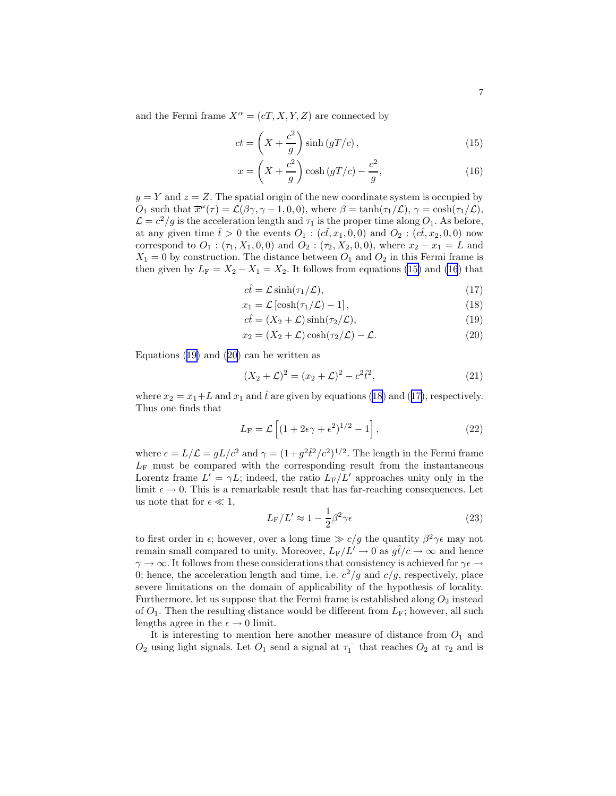and the Fermi frame  $X^{\alpha} = (cT, X, Y, Z)$  are connected by

$$
ct = \left(X + \frac{c^2}{g}\right)\sinh\left(gT/c\right),\tag{15}
$$

$$
x = \left(X + \frac{c^2}{g}\right)\cosh\left(gT/c\right) - \frac{c^2}{g},\tag{16}
$$

 $y = Y$  and  $z = Z$ . The spatial origin of the new coordinate system is occupied by  $O_1$  such that  $\overline{x}^{\mu}(\tau) = \mathcal{L}(\beta\gamma, \gamma - 1, 0, 0)$ , where  $\beta = \tanh(\tau_1/\mathcal{L}), \gamma = \cosh(\tau_1/\mathcal{L}),$  $\mathcal{L} = c^2/g$  is the acceleration length and  $\tau_1$  is the proper time along  $O_1$ . As before, at any given time  $\hat{t} > 0$  the events  $O_1 : (\hat{ct}, x_1, 0, 0)$  and  $O_2 : (\hat{ct}, x_2, 0, 0)$  now correspond to  $O_1$  :  $(\tau_1, X_1, 0, 0)$  and  $O_2$  :  $(\tau_2, X_2, 0, 0)$ , where  $x_2 - x_1 = L$  and  $X_1 = 0$  by construction. The distance between  $O_1$  and  $O_2$  in this Fermi frame is then given by  $L_F = X_2 - X_1 = X_2$ . It follows from equations (15) and (16) that

$$
c\hat{t} = \mathcal{L}\sinh(\tau_1/\mathcal{L}),\tag{17}
$$

$$
x_1 = \mathcal{L}\left[\cosh(\tau_1/\mathcal{L}) - 1\right],\tag{18}
$$

$$
c\hat{t} = (X_2 + \mathcal{L})\sinh(\tau_2/\mathcal{L}),\tag{19}
$$

$$
x_2 = (X_2 + \mathcal{L})\cosh(\tau_2/\mathcal{L}) - \mathcal{L}.\tag{20}
$$

Equations (19) and (20) can be written as

$$
(X_2 + \mathcal{L})^2 = (x_2 + \mathcal{L})^2 - c^2 \hat{t}^2,\tag{21}
$$

where  $x_2 = x_1 + L$  and  $x_1$  and  $\hat{t}$  are given by equations (18) and (17), respectively. Thus one finds that

$$
L_{\rm F} = \mathcal{L}\left[ (1 + 2\epsilon\gamma + \epsilon^2)^{1/2} - 1 \right],\tag{22}
$$

where  $\epsilon = L/\mathcal{L} = gL/c^2$  and  $\gamma = (1+g^2\hat{t}^2/c^2)^{1/2}$ . The length in the Fermi frame  $L_F$  must be compared with the corresponding result from the instantaneous Lorentz frame  $L' = \gamma L$ ; indeed, the ratio  $L_F/L'$  approaches unity only in the limit  $\epsilon \to 0$ . This is a remarkable result that has far-reaching consequences. Let us note that for  $\epsilon \ll 1$ ,

$$
L_{\rm F}/L' \approx 1 - \frac{1}{2}\beta^2 \gamma \epsilon \tag{23}
$$

to first order in  $\epsilon$ ; however, over a long time  $\epsilon$  /g the quantity  $\beta^2 \gamma \epsilon$  may not remain small compared to unity. Moreover,  $L_F/L' \to 0$  as  $g\hat{t}/c \to \infty$  and hence  $\gamma\to\infty.$  It follows from these considerations that consistency is achieved for  $\gamma\epsilon\to$ 0; hence, the acceleration length and time, i.e.  $c^2/g$  and  $c/g$ , respectively, place severe limitations on the domain of applicability of the hypothesis of locality. Furthermore, let us suppose that the Fermi frame is established along  $O_2$  instead of  $O_1$ . Then the resulting distance would be different from  $L_F$ ; however, all such lengths agree in the  $\epsilon \to 0$  limit.

It is interesting to mention here another measure of distance from  $O_1$  and  $O_2$  using light signals. Let  $O_1$  send a signal at  $\tau_1^-$  that reaches  $O_2$  at  $\tau_2$  and is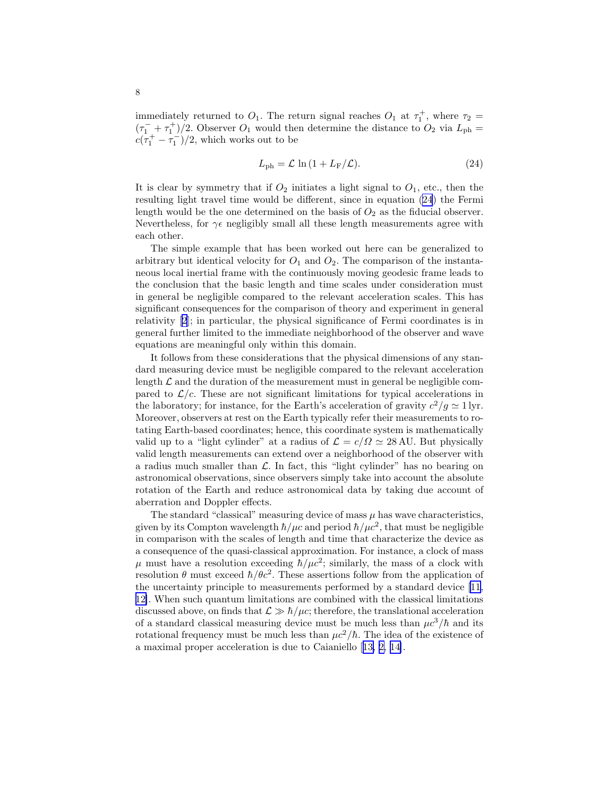immediately returned to  $O_1$ . The return signal reaches  $O_1$  at  $\tau_1^+$ , where  $\tau_2$  =  $(\tau_1^- + \tau_1^+)/2$ . Observer  $O_1$  would then determine the distance to  $O_2$  via  $L_{\rm ph}$  =  $c(\tau_1^+ - \tau_1^-)/2$ , which works out to be

$$
L_{\rm ph} = \mathcal{L} \ln \left( 1 + L_{\rm F}/\mathcal{L} \right). \tag{24}
$$

It is clear by symmetry that if  $O_2$  initiates a light signal to  $O_1$ , etc., then the resulting light travel time would be different, since in equation (24) the Fermi length would be the one determined on the basis of  $O_2$  as the fiducial observer. Nevertheless, for  $\gamma \epsilon$  negligibly small all these length measurements agree with each other.

The simple example that has been worked out here can be generalized to arbitrary but identical velocity for  $O_1$  and  $O_2$ . The comparison of the instantaneous local inertial frame with the continuously moving geodesic frame leads to the conclusion that the basic length and time scales under consideration must in general be negligible compared to the relevant acceleration scales. This has significant consequences for the comparison of theory and experiment in general relativity [\[2](#page-14-0)]; in particular, the physical significance of Fermi coordinates is in general further limited to the immediate neighborhood of the observer and wave equations are meaningful only within this domain.

It follows from these considerations that the physical dimensions of any standard measuring device must be negligible compared to the relevant acceleration length  $\mathcal L$  and the duration of the measurement must in general be negligible compared to  $\mathcal{L}/c$ . These are not significant limitations for typical accelerations in the laboratory; for instance, for the Earth's acceleration of gravity  $c^2/g \simeq 1$  lyr. Moreover, observers at rest on the Earth typically refer their measurements to rotating Earth-based coordinates; hence, this coordinate system is mathematically valid up to a "light cylinder" at a radius of  $\mathcal{L} = c/\Omega \simeq 28 \text{ AU}$ . But physically valid length measurements can extend over a neighborhood of the observer with a radius much smaller than  $\mathcal{L}$ . In fact, this "light cylinder" has no bearing on astronomical observations, since observers simply take into account the absolute rotation of the Earth and reduce astronomical data by taking due account of aberration and Doppler effects.

The standard "classical" measuring device of mass  $\mu$  has wave characteristics, given by its Compton wavelength  $\hbar/\mu c$  and period  $\hbar/\mu c^2$ , that must be negligible in comparison with the scales of length and time that characterize the device as a consequence of the quasi-classical approximation. For instance, a clock of mass  $\mu$  must have a resolution exceeding  $\hbar/\mu c^2$ ; similarly, the mass of a clock with resolution  $\theta$  must exceed  $\hbar/\theta c^2$ . These assertions follow from the application of the uncertainty principle to measurements performed by a standard device[[11,](#page-14-0) [12\]](#page-14-0). When such quantum limitations are combined with the classical limitations discussed above, on finds that  $\mathcal{L} \gg \hbar/\mu c$ ; therefore, the translational acceleration of a standard classical measuring device must be much less than  $\mu c^3/\hbar$  and its rotational frequency must be much less than  $\mu c^2/\hbar$ . The idea of the existence of a maximal proper acceleration is due to Caianiello[[13, 2, 14\]](#page-14-0).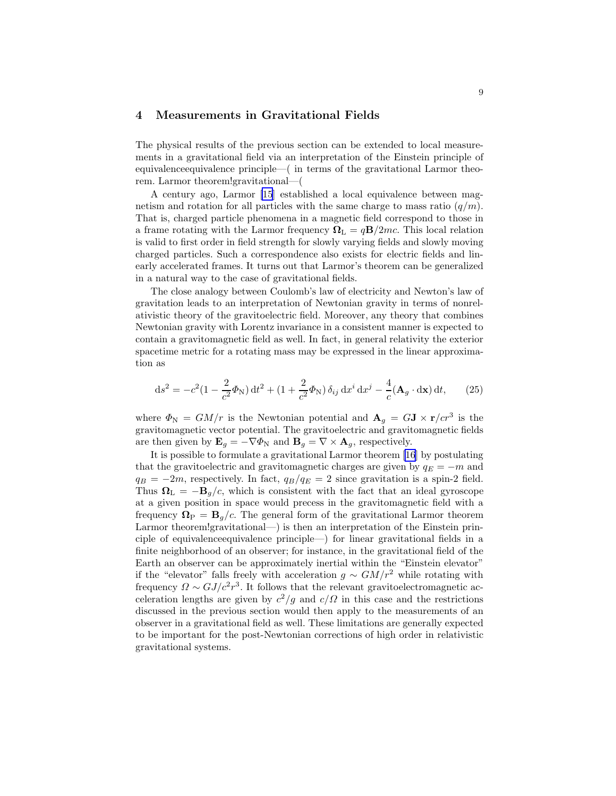# 4 Measurements in Gravitational Fields

The physical results of the previous section can be extended to local measurements in a gravitational field via an interpretation of the Einstein principle of equivalenceequivalence principle—( in terms of the gravitational Larmor theorem. Larmor theorem!gravitational—(

A century ago, Larmor [\[15](#page-14-0)] established a local equivalence between magnetism and rotation for all particles with the same charge to mass ratio  $(q/m)$ . That is, charged particle phenomena in a magnetic field correspond to those in a frame rotating with the Larmor frequency  $\Omega_{\rm L} = q{\bf B}/2mc$ . This local relation is valid to first order in field strength for slowly varying fields and slowly moving charged particles. Such a correspondence also exists for electric fields and linearly accelerated frames. It turns out that Larmor's theorem can be generalized in a natural way to the case of gravitational fields.

The close analogy between Coulomb's law of electricity and Newton's law of gravitation leads to an interpretation of Newtonian gravity in terms of nonrelativistic theory of the gravitoelectric field. Moreover, any theory that combines Newtonian gravity with Lorentz invariance in a consistent manner is expected to contain a gravitomagnetic field as well. In fact, in general relativity the exterior spacetime metric for a rotating mass may be expressed in the linear approximation as

$$
ds^{2} = -c^{2}(1 - \frac{2}{c^{2}}\Phi_{N}) dt^{2} + (1 + \frac{2}{c^{2}}\Phi_{N}) \delta_{ij} dx^{i} dx^{j} - \frac{4}{c}(\mathbf{A}_{g} \cdot d\mathbf{x}) dt, \qquad (25)
$$

where  $\Phi_{\rm N} = GM/r$  is the Newtonian potential and  ${\bf A}_g = G{\bf J} \times {\bf r}/cr^3$  is the gravitomagnetic vector potential. The gravitoelectric and gravitomagnetic fields are then given by  $\mathbf{E}_g = -\nabla \Phi_{\rm N}$  and  $\mathbf{B}_g = \nabla \times \mathbf{A}_g$ , respectively.

It is possible to formulate a gravitational Larmor theorem [\[16](#page-14-0)] by postulating that the gravitoelectric and gravitomagnetic charges are given by  $q_E = -m$  and  $q_B = -2m$ , respectively. In fact,  $q_B/q_E = 2$  since gravitation is a spin-2 field. Thus  $\mathbf{\Omega}_{\mathbf{L}} = -\mathbf{B}_{g}/c$ , which is consistent with the fact that an ideal gyroscope at a given position in space would precess in the gravitomagnetic field with a frequency  $\mathbf{\Omega}_{\text{P}} = \mathbf{B}_g/c$ . The general form of the gravitational Larmor theorem Larmor theorem!gravitational—) is then an interpretation of the Einstein principle of equivalenceequivalence principle—) for linear gravitational fields in a finite neighborhood of an observer; for instance, in the gravitational field of the Earth an observer can be approximately inertial within the "Einstein elevator" if the "elevator" falls freely with acceleration  $g \sim GM/r^2$  while rotating with frequency  $\Omega \sim GJ/c^2r^3$ . It follows that the relevant gravitoelectromagnetic acceleration lengths are given by  $c^2/g$  and  $c/\Omega$  in this case and the restrictions discussed in the previous section would then apply to the measurements of an observer in a gravitational field as well. These limitations are generally expected to be important for the post-Newtonian corrections of high order in relativistic gravitational systems.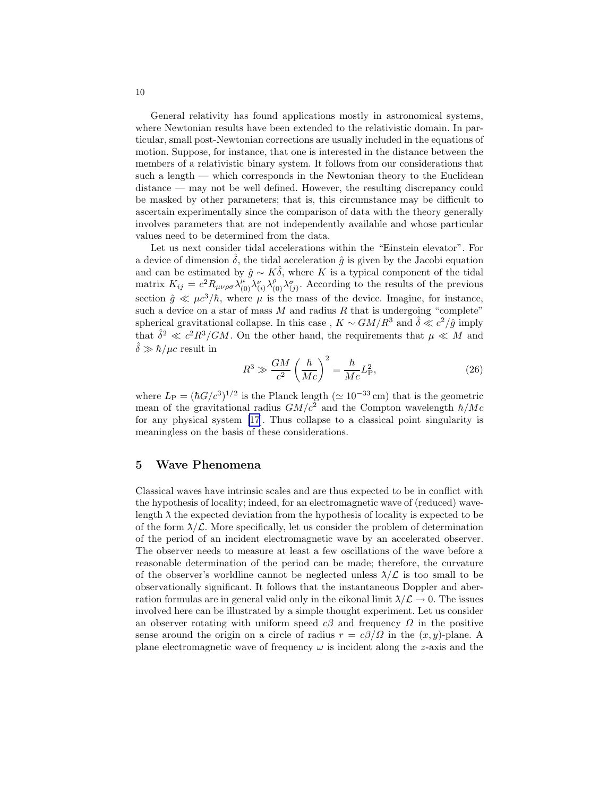General relativity has found applications mostly in astronomical systems, where Newtonian results have been extended to the relativistic domain. In particular, small post-Newtonian corrections are usually included in the equations of motion. Suppose, for instance, that one is interested in the distance between the members of a relativistic binary system. It follows from our considerations that such a length — which corresponds in the Newtonian theory to the Euclidean distance — may not be well defined. However, the resulting discrepancy could be masked by other parameters; that is, this circumstance may be difficult to ascertain experimentally since the comparison of data with the theory generally involves parameters that are not independently available and whose particular values need to be determined from the data.

Let us next consider tidal accelerations within the "Einstein elevator". For a device of dimension  $\delta$ , the tidal acceleration  $\hat{g}$  is given by the Jacobi equation and can be estimated by  $\hat{g} \sim K\delta$ , where K is a typical component of the tidal matrix  $K_{ij} = c^2 R_{\mu\nu\rho\sigma} \lambda_{(0)}^{\mu} \lambda_{(i)}^{\nu} \lambda_{(0)}^{\rho} \lambda_{(j)}^{\sigma}$ . According to the results of the previous section  $\hat{g} \ll \mu c^3/\hbar$ , where  $\mu$  is the mass of the device. Imagine, for instance, such a device on a star of mass  $M$  and radius  $R$  that is undergoing "complete" spherical gravitational collapse. In this case,  $K \sim GM/R^3$  and  $\hat{\delta} \ll c^2/\hat{g}$  imply that  $\hat{\delta}^2 \ll c^2 R^3/GM$ . On the other hand, the requirements that  $\mu \ll M$  and  $\hat{\delta} \gg \hbar / \mu c$  result in

$$
R^3 \gg \frac{GM}{c^2} \left(\frac{\hbar}{Mc}\right)^2 = \frac{\hbar}{Mc} L_P^2,
$$
\n(26)

where  $L_{\rm P} = (\hbar G/c^3)^{1/2}$  is the Planck length ( $\simeq 10^{-33}$  cm) that is the geometric mean of the gravitational radius  $GM/c^2$  and the Compton wavelength  $\hbar/Mc$ for any physical system [\[17](#page-14-0)]. Thus collapse to a classical point singularity is meaningless on the basis of these considerations.

### 5 Wave Phenomena

Classical waves have intrinsic scales and are thus expected to be in conflict with the hypothesis of locality; indeed, for an electromagnetic wave of (reduced) wavelength  $\lambda$  the expected deviation from the hypothesis of locality is expected to be of the form  $\lambda/\mathcal{L}$ . More specifically, let us consider the problem of determination of the period of an incident electromagnetic wave by an accelerated observer. The observer needs to measure at least a few oscillations of the wave before a reasonable determination of the period can be made; therefore, the curvature of the observer's worldline cannot be neglected unless  $\lambda/\mathcal{L}$  is too small to be observationally significant. It follows that the instantaneous Doppler and aberration formulas are in general valid only in the eikonal limit  $\lambda/\mathcal{L} \to 0$ . The issues involved here can be illustrated by a simple thought experiment. Let us consider an observer rotating with uniform speed  $c\beta$  and frequency  $\Omega$  in the positive sense around the origin on a circle of radius  $r = c\beta/\Omega$  in the  $(x, y)$ -plane. A plane electromagnetic wave of frequency  $\omega$  is incident along the z-axis and the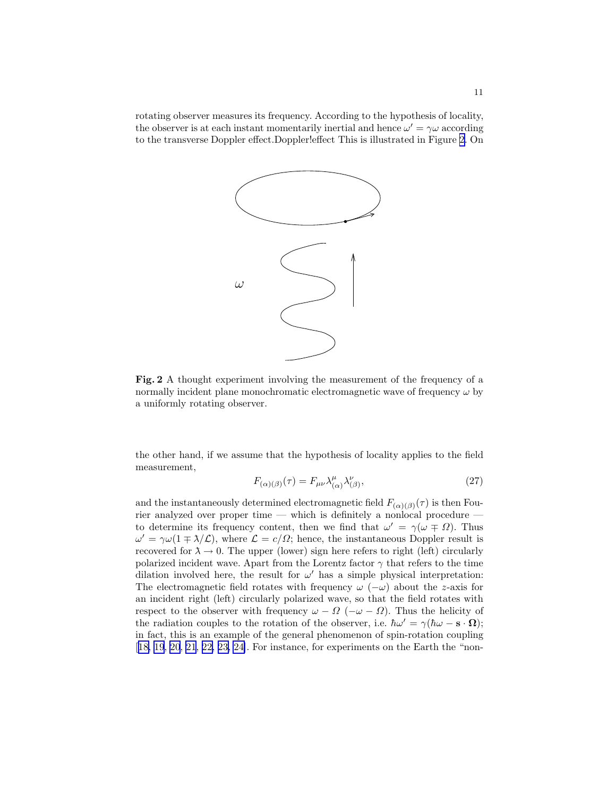<span id="page-10-0"></span>rotating observer measures its frequency. According to the hypothesis of locality, the observer is at each instant momentarily inertial and hence  $\omega' = \gamma \omega$  according to the transverse Doppler effect.Doppler!effect This is illustrated in Figure 2. On



Fig. 2 A thought experiment involving the measurement of the frequency of a normally incident plane monochromatic electromagnetic wave of frequency  $\omega$  by a uniformly rotating observer.

the other hand, if we assume that the hypothesis of locality applies to the field measurement,

$$
F_{(\alpha)(\beta)}(\tau) = F_{\mu\nu} \lambda_{(\alpha)}^{\mu} \lambda_{(\beta)}^{\nu},\tag{27}
$$

and the instantaneously determined electromagnetic field  $F_{(\alpha)(\beta)}(\tau)$  is then Fourier analyzed over proper time — which is definitely a nonlocal procedure to determine its frequency content, then we find that  $\omega' = \gamma(\omega \mp \Omega)$ . Thus  $\omega' = \gamma \omega (1 \mp \lambda/\mathcal{L})$ , where  $\mathcal{L} = c/\Omega$ ; hence, the instantaneous Doppler result is recovered for  $\lambda \to 0$ . The upper (lower) sign here refers to right (left) circularly polarized incident wave. Apart from the Lorentz factor  $\gamma$  that refers to the time dilation involved here, the result for  $\omega'$  has a simple physical interpretation: The electromagnetic field rotates with frequency  $\omega$  ( $-\omega$ ) about the z-axis for an incident right (left) circularly polarized wave, so that the field rotates with respect to the observer with frequency  $\omega - \Omega$  ( $-\omega - \Omega$ ). Thus the helicity of the radiation couples to the rotation of the observer, i.e.  $\hbar \omega' = \gamma (\hbar \omega - s \cdot \Omega)$ ; in fact, this is an example of the general phenomenon of spin-rotation coupling [[18, 19](#page-15-0), [20](#page-15-0), [21](#page-15-0), [22, 23, 24\]](#page-15-0). For instance, for experiments on the Earth the "non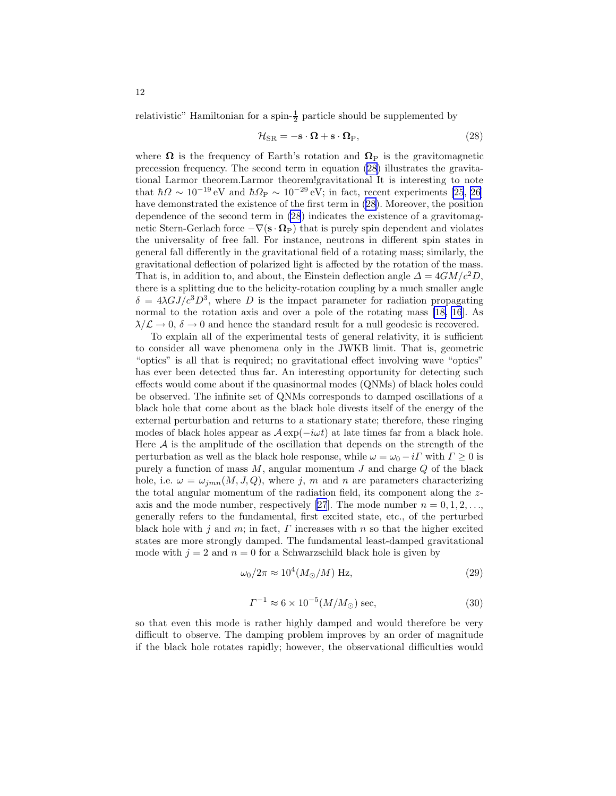relativistic" Hamiltonian for a spin- $\frac{1}{2}$  particle should be supplemented by

$$
\mathcal{H}_{\rm SR} = -\mathbf{s} \cdot \mathbf{\Omega} + \mathbf{s} \cdot \mathbf{\Omega}_{\rm P},\tag{28}
$$

where  $\Omega$  is the frequency of Earth's rotation and  $\Omega_{\rm P}$  is the gravitomagnetic precession frequency. The second term in equation (28) illustrates the gravitational Larmor theorem.Larmor theorem!gravitational It is interesting to note that  $\hbar\Omega \sim 10^{-19}$  eV and  $\hbar\Omega_P \sim 10^{-29}$  eV; in fact, recent experiments [\[25](#page-15-0), [26\]](#page-15-0) have demonstrated the existence of the first term in (28). Moreover, the position dependence of the second term in (28) indicates the existence of a gravitomagnetic Stern-Gerlach force  $-\nabla(\mathbf{s} \cdot \mathbf{\Omega}_{P})$  that is purely spin dependent and violates the universality of free fall. For instance, neutrons in different spin states in general fall differently in the gravitational field of a rotating mass; similarly, the gravitational deflection of polarized light is affected by the rotation of the mass. That is, in addition to, and about, the Einstein deflection angle  $\Delta = 4GM/c^2D$ , there is a splitting due to the helicity-rotation coupling by a much smaller angle  $\delta = 4\lambda GJ/c^3D^3$ , where D is the impact parameter for radiation propagating normal to the rotation axis and over a pole of the rotating mass [\[18,](#page-15-0) [16](#page-14-0)]. As  $\lambda/\mathcal{L} \to 0$ ,  $\delta \to 0$  and hence the standard result for a null geodesic is recovered.

To explain all of the experimental tests of general relativity, it is sufficient to consider all wave phenomena only in the JWKB limit. That is, geometric "optics" is all that is required; no gravitational effect involving wave "optics" has ever been detected thus far. An interesting opportunity for detecting such effects would come about if the quasinormal modes (QNMs) of black holes could be observed. The infinite set of QNMs corresponds to damped oscillations of a black hole that come about as the black hole divests itself of the energy of the external perturbation and returns to a stationary state; therefore, these ringing modes of black holes appear as  $\mathcal{A} \exp(-i \omega t)$  at late times far from a black hole. Here  $A$  is the amplitude of the oscillation that depends on the strength of the perturbation as well as the black hole response, while  $\omega = \omega_0 - i\Gamma$  with  $\Gamma \geq 0$  is purely a function of mass  $M$ , angular momentum  $J$  and charge  $Q$  of the black hole, i.e.  $\omega = \omega_{jmn}(M, J, Q)$ , where j, m and n are parameters characterizing the total angular momentum of the radiation field, its component along the z-axis and the mode number, respectively [\[27](#page-15-0)]. The mode number  $n = 0, 1, 2, \ldots$ , generally refers to the fundamental, first excited state, etc., of the perturbed black hole with j and m; in fact,  $\Gamma$  increases with  $n$  so that the higher excited states are more strongly damped. The fundamental least-damped gravitational mode with  $j = 2$  and  $n = 0$  for a Schwarzschild black hole is given by

$$
\omega_0 / 2\pi \approx 10^4 (M_\odot / M) \text{ Hz},\tag{29}
$$

$$
\Gamma^{-1} \approx 6 \times 10^{-5} (M/M_{\odot}) \text{ sec},\tag{30}
$$

so that even this mode is rather highly damped and would therefore be very difficult to observe. The damping problem improves by an order of magnitude if the black hole rotates rapidly; however, the observational difficulties would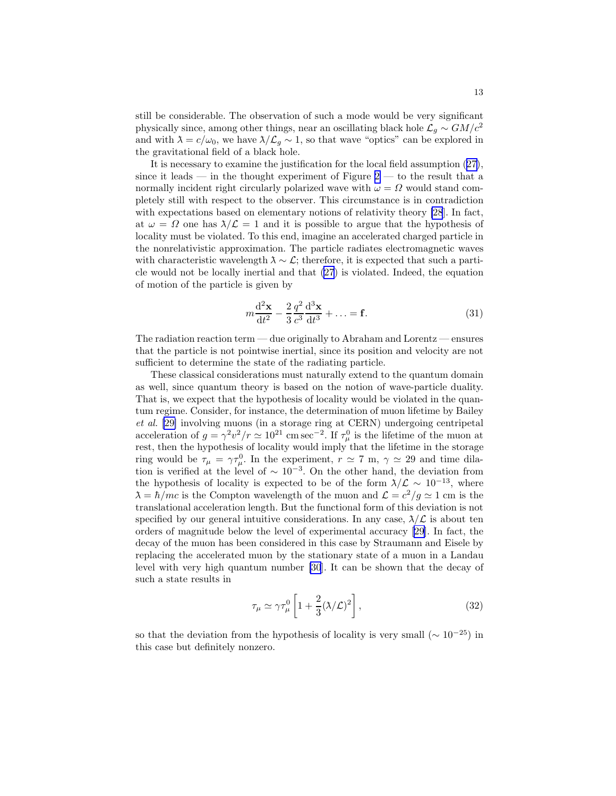still be considerable. The observation of such a mode would be very significant physically since, among other things, near an oscillating black hole  $\mathcal{L}_g \sim GM/c^2$ and with  $\lambda = c/\omega_0$ , we have  $\lambda/\mathcal{L}_g \sim 1$ , so that wave "optics" can be explored in the gravitational field of a black hole.

It is necessary to examine the justification for the local field assumption ([27](#page-10-0)), since it leads — in the thought experiment of Figure  $2 -$  to the result that a normally incident right circularly polarized wave with  $\omega = \Omega$  would stand completely still with respect to the observer. This circumstance is in contradiction with expectations based on elementary notions of relativity theory [\[28](#page-15-0)]. In fact, at  $\omega = \Omega$  one has  $\lambda/\mathcal{L} = 1$  and it is possible to argue that the hypothesis of locality must be violated. To this end, imagine an accelerated charged particle in the nonrelativistic approximation. The particle radiates electromagnetic waves with characteristic wavelength  $\lambda \sim \mathcal{L}$ ; therefore, it is expected that such a particle would not be locally inertial and that [\(27](#page-10-0)) is violated. Indeed, the equation of motion of the particle is given by

$$
m\frac{\mathrm{d}^2\mathbf{x}}{\mathrm{d}t^2} - \frac{2}{3}\frac{q^2}{c^3}\frac{\mathrm{d}^3\mathbf{x}}{\mathrm{d}t^3} + \dots = \mathbf{f}.\tag{31}
$$

The radiation reaction term — due originally to Abraham and Lorentz — ensures that the particle is not pointwise inertial, since its position and velocity are not sufficient to determine the state of the radiating particle.

These classical considerations must naturally extend to the quantum domain as well, since quantum theory is based on the notion of wave-particle duality. That is, we expect that the hypothesis of locality would be violated in the quantum regime. Consider, for instance, the determination of muon lifetime by Bailey et al. [\[29\]](#page-15-0) involving muons (in a storage ring at CERN) undergoing centripetal acceleration of  $g = \gamma^2 v^2/r \simeq 10^{21}$  cm sec<sup>-2</sup>. If  $\tau^0_\mu$  is the lifetime of the muon at rest, then the hypothesis of locality would imply that the lifetime in the storage ring would be  $\tau_{\mu} = \gamma \tau_{\mu}^0$ . In the experiment,  $r \simeq 7$  m,  $\gamma \simeq 29$  and time dilation is verified at the level of  $\sim 10^{-3}$ . On the other hand, the deviation from the hypothesis of locality is expected to be of the form  $\lambda/\mathcal{L} \sim 10^{-13}$ , where  $\lambda = \hbar/mc$  is the Compton wavelength of the muon and  $\mathcal{L} = c^2/g \simeq 1$  cm is the translational acceleration length. But the functional form of this deviation is not specified by our general intuitive considerations. In any case,  $\lambda/\mathcal{L}$  is about ten orders of magnitude below the level of experimental accuracy[[29\]](#page-15-0). In fact, the decay of the muon has been considered in this case by Straumann and Eisele by replacing the accelerated muon by the stationary state of a muon in a Landau level with very high quantum number [\[30](#page-15-0)]. It can be shown that the decay of such a state results in

$$
\tau_{\mu} \simeq \gamma \tau_{\mu}^{0} \left[ 1 + \frac{2}{3} (\lambda / \mathcal{L})^2 \right], \tag{32}
$$

so that the deviation from the hypothesis of locality is very small  $({\sim 10^{-25}})$  in this case but definitely nonzero.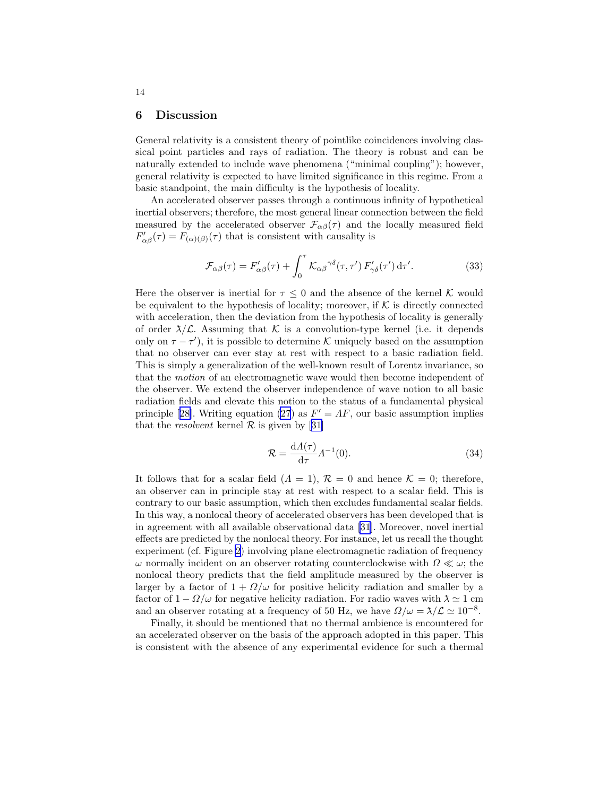#### 6 Discussion

General relativity is a consistent theory of pointlike coincidences involving classical point particles and rays of radiation. The theory is robust and can be naturally extended to include wave phenomena ("minimal coupling"); however, general relativity is expected to have limited significance in this regime. From a basic standpoint, the main difficulty is the hypothesis of locality.

An accelerated observer passes through a continuous infinity of hypothetical inertial observers; therefore, the most general linear connection between the field measured by the accelerated observer  $\mathcal{F}_{\alpha\beta}(\tau)$  and the locally measured field  $F'_{\alpha\beta}(\tau) = F_{(\alpha)(\beta)}(\tau)$  that is consistent with causality is

$$
\mathcal{F}_{\alpha\beta}(\tau) = F'_{\alpha\beta}(\tau) + \int_0^\tau \mathcal{K}_{\alpha\beta}^{\gamma\delta}(\tau, \tau') F'_{\gamma\delta}(\tau') d\tau'. \tag{33}
$$

Here the observer is inertial for  $\tau \leq 0$  and the absence of the kernel K would be equivalent to the hypothesis of locality; moreover, if  $K$  is directly connected with acceleration, then the deviation from the hypothesis of locality is generally of order  $\lambda/\mathcal{L}$ . Assuming that K is a convolution-type kernel (i.e. it depends only on  $\tau - \tau'$ ), it is possible to determine K uniquely based on the assumption that no observer can ever stay at rest with respect to a basic radiation field. This is simply a generalization of the well-known result of Lorentz invariance, so that the motion of an electromagnetic wave would then become independent of the observer. We extend the observer independence of wave notion to all basic radiation fields and elevate this notion to the status of a fundamental physical principle[[28\]](#page-15-0). Writing equation [\(27](#page-10-0)) as  $F' = AF$ , our basic assumption implies thatthe *resolvent* kernel  $\mathcal R$  is given by [[31\]](#page-15-0)

$$
\mathcal{R} = \frac{d\Lambda(\tau)}{d\tau} \Lambda^{-1}(0). \tag{34}
$$

It follows that for a scalar field  $(A = 1)$ ,  $\mathcal{R} = 0$  and hence  $\mathcal{K} = 0$ ; therefore, an observer can in principle stay at rest with respect to a scalar field. This is contrary to our basic assumption, which then excludes fundamental scalar fields. In this way, a nonlocal theory of accelerated observers has been developed that is in agreement with all available observational data [\[31](#page-15-0)]. Moreover, novel inertial effects are predicted by the nonlocal theory. For instance, let us recall the thought experiment (cf. Figure [2](#page-10-0)) involving plane electromagnetic radiation of frequency  $ω$  normally incident on an observer rotating counterclockwise with  $Ω \ll ω$ ; the nonlocal theory predicts that the field amplitude measured by the observer is larger by a factor of  $1 + \Omega/\omega$  for positive helicity radiation and smaller by a factor of  $1 - \Omega/\omega$  for negative helicity radiation. For radio waves with  $\lambda \simeq 1$  cm and an observer rotating at a frequency of 50 Hz, we have  $\Omega/\omega = \lambda/\mathcal{L} \simeq 10^{-8}$ .

Finally, it should be mentioned that no thermal ambience is encountered for an accelerated observer on the basis of the approach adopted in this paper. This is consistent with the absence of any experimental evidence for such a thermal

<span id="page-13-0"></span>14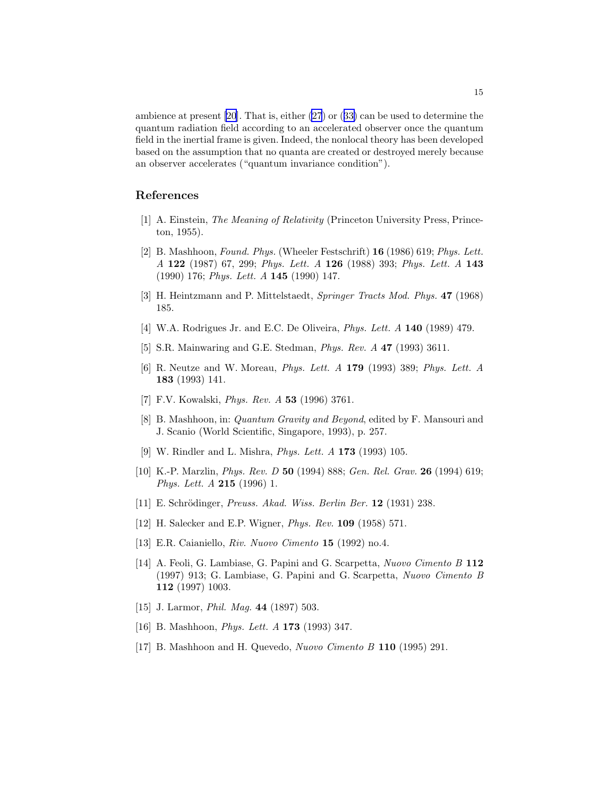<span id="page-14-0"></span>ambience at present [\[20](#page-15-0)]. That is, either [\(27](#page-10-0)) or ([33\)](#page-13-0) can be used to determine the quantum radiation field according to an accelerated observer once the quantum field in the inertial frame is given. Indeed, the nonlocal theory has been developed based on the assumption that no quanta are created or destroyed merely because an observer accelerates ("quantum invariance condition").

### References

- [1] A. Einstein, The Meaning of Relativity (Princeton University Press, Princeton, 1955).
- [2] B. Mashhoon, Found. Phys. (Wheeler Festschrift) 16 (1986) 619; Phys. Lett. A 122 (1987) 67, 299; Phys. Lett. A 126 (1988) 393; Phys. Lett. A 143 (1990) 176; Phys. Lett. A 145 (1990) 147.
- [3] H. Heintzmann and P. Mittelstaedt, Springer Tracts Mod. Phys. 47 (1968) 185.
- [4] W.A. Rodrigues Jr. and E.C. De Oliveira, *Phys. Lett. A* **140** (1989) 479.
- [5] S.R. Mainwaring and G.E. Stedman, Phys. Rev. A 47 (1993) 3611.
- [6] R. Neutze and W. Moreau, Phys. Lett. A 179 (1993) 389; Phys. Lett. A 183 (1993) 141.
- [7] F.V. Kowalski, Phys. Rev. A 53 (1996) 3761.
- [8] B. Mashhoon, in: Quantum Gravity and Beyond, edited by F. Mansouri and J. Scanio (World Scientific, Singapore, 1993), p. 257.
- [9] W. Rindler and L. Mishra, Phys. Lett. A 173 (1993) 105.
- [10] K.-P. Marzlin, Phys. Rev. D 50 (1994) 888; Gen. Rel. Grav. 26 (1994) 619; Phys. Lett. A 215 (1996) 1.
- [11] E. Schrödinger, Preuss. Akad. Wiss. Berlin Ber. 12 (1931) 238.
- [12] H. Salecker and E.P. Wigner, Phys. Rev. 109 (1958) 571.
- [13] E.R. Caianiello, Riv. Nuovo Cimento 15 (1992) no.4.
- [14] A. Feoli, G. Lambiase, G. Papini and G. Scarpetta, Nuovo Cimento B 112 (1997) 913; G. Lambiase, G. Papini and G. Scarpetta, Nuovo Cimento B 112 (1997) 1003.
- [15] J. Larmor, *Phil. Mag.* **44** (1897) 503.
- [16] B. Mashhoon, *Phys. Lett. A* **173** (1993) 347.
- [17] B. Mashhoon and H. Quevedo, Nuovo Cimento B 110 (1995) 291.